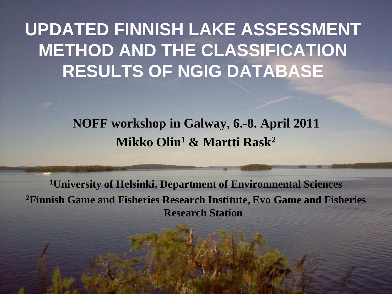#### **UPDATED FINNISH LAKE ASSESSMENT METHOD AND THE CLASSIFICATION RESULTS OF NGIG DATABASE**

#### **NOFF workshop in Galway, 6.-8. April 2011 Mikko Olin<sup>1</sup> & Martti Rask<sup>2</sup>**

**<sup>1</sup>University of Helsinki, Department of Environmental Sciences <sup>2</sup>Finnish Game and Fisheries Research Institute, Evo Game and Fisheries Research Station**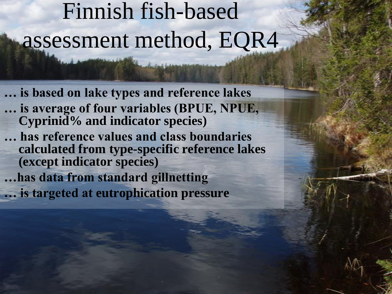# Finnish fish-based assessment method, EQR4

**… is based on lake types and reference lakes … is average of four variables (BPUE, NPUE, Cyprinid% and indicator species) … has reference values and class boundaries calculated from type-specific reference lakes (except indicator species) …has data from standard gillnetting … is targeted at eutrophication pressure**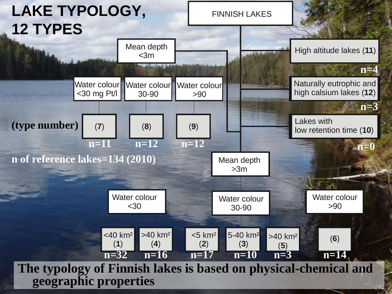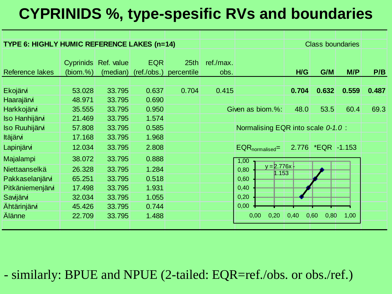#### **CYPRINIDS %, type-spesific RVs and boundaries**

| TYPE 6: HIGHLY HUMIC REFERENCE LAKES (n=14)      |                              |                            |                           |                    |                   |                                       | <b>Class boundaries</b> |                     |       |       |
|--------------------------------------------------|------------------------------|----------------------------|---------------------------|--------------------|-------------------|---------------------------------------|-------------------------|---------------------|-------|-------|
| Reference lakes                                  | <b>Cyprinids</b><br>(biom.%) | Ref. value<br>(median)     | <b>EQR</b><br>(ref./obs.) | 25th<br>percentile | ref./max.<br>obs. |                                       | H/G                     | G/M                 | M/P   | P/B   |
| Ekojärvi<br>Haarajärvi                           | 53.028<br>48.971             | 33.795<br>33.795           | 0.637<br>0.690            | 0.704              | 0.415             |                                       | 0.704                   | 0.632               | 0.559 | 0.487 |
| Harkkojärvi<br>Iso Hanhijärvi                    | 35.555<br>21.469             | 33.795<br>33.795           | 0.950<br>1.574            |                    |                   | Given as biom.%:                      | 48.0                    | 53.5                | 60.4  | 69.3  |
| <b>Iso Ruuhijärvi</b><br>Itäjärvi                | 57.808<br>17.168             | 33.795<br>33.795           | 0.585<br>1.968            |                    |                   | Normalising EQR into scale 0-1.0 :    |                         |                     |       |       |
| Lapinjärvi                                       | 12.034                       | 33.795                     | 2.808                     |                    |                   | EQR <sub>normalised</sub> =           |                         | 2.776 * EQR - 1.153 |       |       |
| Majalampi<br>Niettaanselkä                       | 38.072<br>26.328<br>65.251   | 33.795<br>33.795<br>33.795 | 0.888<br>1.284<br>0.518   |                    |                   | 1,00<br>$y = 2.776x$<br>0,80<br>1.153 |                         |                     |       |       |
| Pakkaselanjärvi<br>Pitkäniemenjärvi<br>Savijärvi | 17.498<br>32.034             | 33.795<br>33.795           | 1.931<br>1.055            |                    |                   | 0,60<br>0,40<br>0,20                  |                         |                     |       |       |
| <b>Ahtärinjärvi</b><br>Älänne                    | 45.426<br>22.709             | 33.795<br>33.795           | 0.744<br>1.488            |                    |                   | 0,00<br>0,00<br>0,20                  | 0,40                    | 0,60<br>0,80        | 1,00  |       |
|                                                  |                              |                            |                           |                    |                   |                                       |                         |                     |       |       |

- similarly: BPUE and NPUE (2-tailed: EQR=ref./obs. or obs./ref.)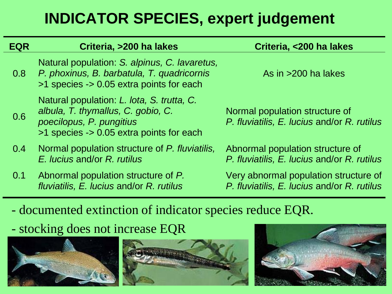#### **INDICATOR SPECIES, expert judgement**

| <b>EQR</b> | Criteria, >200 ha lakes                                                                                                                                  | Criteria, <200 ha lakes                                                              |
|------------|----------------------------------------------------------------------------------------------------------------------------------------------------------|--------------------------------------------------------------------------------------|
| 0.8        | Natural population: S. alpinus, C. lavaretus,<br>P. phoxinus, B. barbatula, T. quadricornis<br>>1 species -> 0.05 extra points for each                  | As in $>200$ ha lakes                                                                |
| 0.6        | Natural population: L. lota, S. trutta, C.<br>albula, T. thymallus, C. gobio, C.<br>poecilopus, P. pungitius<br>>1 species -> 0.05 extra points for each | Normal population structure of<br>P. fluviatilis, E. lucius and/or R. rutilus        |
| 0.4        | Normal population structure of P. fluviatilis,<br>E. lucius and/or R. rutilus                                                                            | Abnormal population structure of<br>P. fluviatilis, E. lucius and/or R. rutilus      |
| 0.1        | Abnormal population structure of P.<br>fluviatilis, E. lucius and/or R. rutilus                                                                          | Very abnormal population structure of<br>P. fluviatilis, E. lucius and/or R. rutilus |

- documented extinction of indicator species reduce EQR.

- stocking does not increase EQR



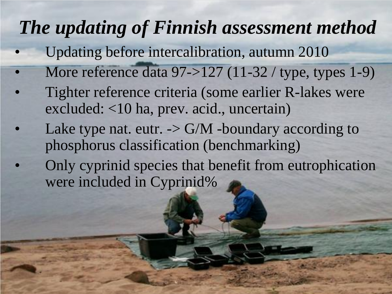### *The updating of Finnish assessment method*

- Updating before intercalibration, autumn 2010
- More reference data 97->127 (11-32 / type, types 1-9)
- Tighter reference criteria (some earlier R-lakes were excluded: <10 ha, prev. acid., uncertain)
- Lake type nat. eutr.  $\sim$  G/M -boundary according to phosphorus classification (benchmarking)
- Only cyprinid species that benefit from eutrophication were included in Cyprinid%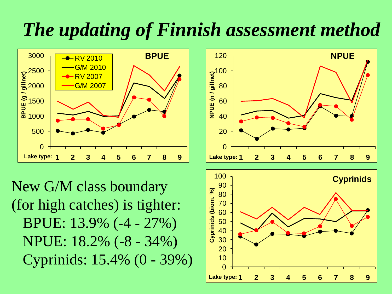### *The updating of Finnish assessment method*



New G/M class boundary (for high catches) is tighter: BPUE: 13.9% (-4 - 27%) NPUE: 18.2% (-8 - 34%) Cyprinids: 15.4% (0 - 39%)

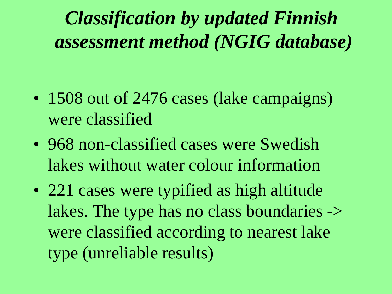## *Classification by updated Finnish assessment method (NGIG database)*

- 1508 out of 2476 cases (lake campaigns) were classified
- 968 non-classified cases were Swedish lakes without water colour information
- 221 cases were typified as high altitude lakes. The type has no class boundaries -> were classified according to nearest lake type (unreliable results)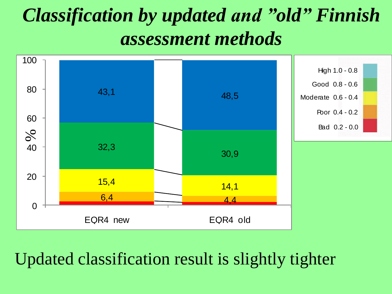### *Classification by updated and "old" Finnish assessment methods*



#### Updated classification result is slightly tighter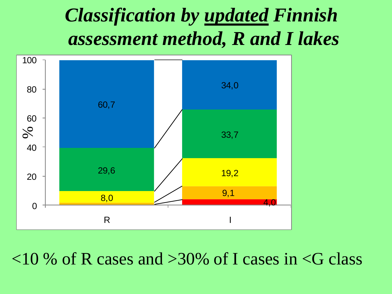#### *Classification by updated Finnish assessment method, R and I lakes*



 $10\%$  of R cases and  $>30\%$  of I cases in  $\le$ G class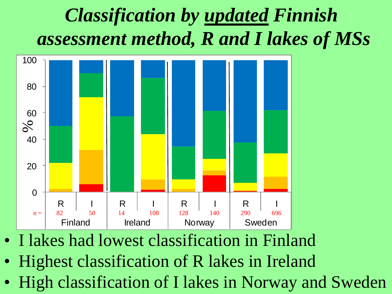## *Classification by updated Finnish assessment method, R and I lakes of MSs*



- I lakes had lowest classification in Finland
- Highest classification of R lakes in Ireland
-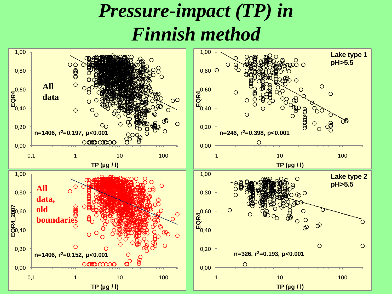#### *Pressure-impact (TP) in Finnish method*

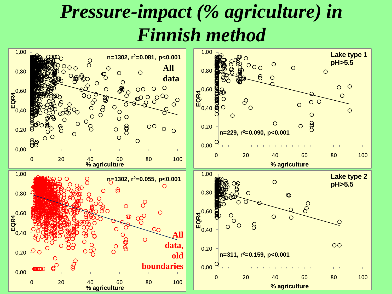#### *Pressure-impact (% agriculture) in Finnish method*